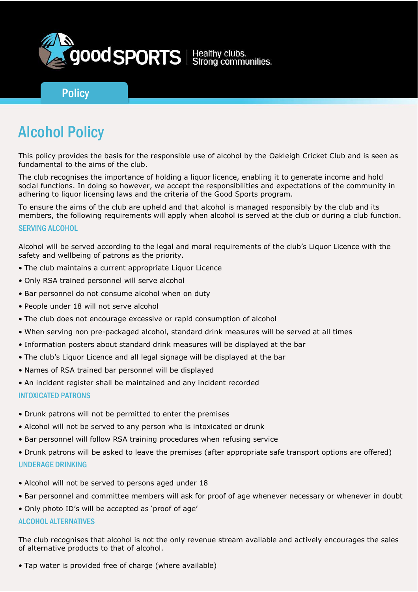

# **Policy**

# Alcohol Policy

This policy provides the basis for the responsible use of alcohol by the Oakleigh Cricket Club and is seen as fundamental to the aims of the club.

The club recognises the importance of holding a liquor licence, enabling it to generate income and hold social functions. In doing so however, we accept the responsibilities and expectations of the community in adhering to liquor licensing laws and the criteria of the Good Sports program.

To ensure the aims of the club are upheld and that alcohol is managed responsibly by the club and its members, the following requirements will apply when alcohol is served at the club or during a club function.

#### SERVING ALCOHOL

Alcohol will be served according to the legal and moral requirements of the club's Liquor Licence with the safety and wellbeing of patrons as the priority.

- The club maintains a current appropriate Liquor Licence
- Only RSA trained personnel will serve alcohol
- Bar personnel do not consume alcohol when on duty
- People under 18 will not serve alcohol
- The club does not encourage excessive or rapid consumption of alcohol
- When serving non pre-packaged alcohol, standard drink measures will be served at all times
- Information posters about standard drink measures will be displayed at the bar
- The club's Liquor Licence and all legal signage will be displayed at the bar
- Names of RSA trained bar personnel will be displayed
- An incident register shall be maintained and any incident recorded

#### INTOXICATED PATRONS

- Drunk patrons will not be permitted to enter the premises
- Alcohol will not be served to any person who is intoxicated or drunk
- Bar personnel will follow RSA training procedures when refusing service
- Drunk patrons will be asked to leave the premises (after appropriate safe transport options are offered) UNDERAGE DRINKING
- Alcohol will not be served to persons aged under 18
- Bar personnel and committee members will ask for proof of age whenever necessary or whenever in doubt
- Only photo ID's will be accepted as 'proof of age'

## ALCOHOL ALTERNATIVES

The club recognises that alcohol is not the only revenue stream available and actively encourages the sales of alternative products to that of alcohol.

• Tap water is provided free of charge (where available)